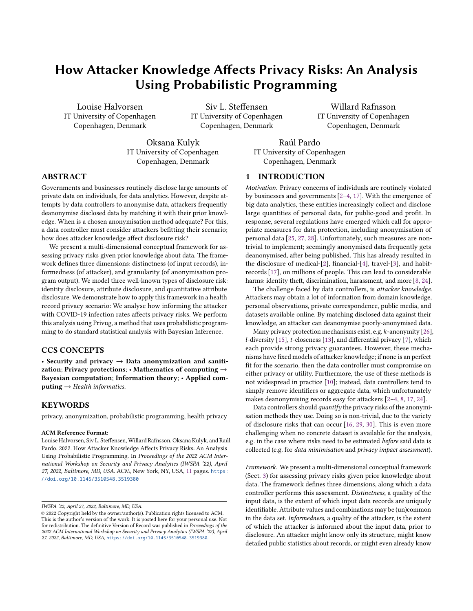# How Attacker Knowledge Affects Privacy Risks: An Analysis Using Probabilistic Programming

Louise Halvorsen IT University of Copenhagen Copenhagen, Denmark

Siv L. Steffensen IT University of Copenhagen Copenhagen, Denmark

Willard Rafnsson IT University of Copenhagen Copenhagen, Denmark

Oksana Kulyk IT University of Copenhagen Copenhagen, Denmark

Raúl Pardo IT University of Copenhagen Copenhagen, Denmark

## ABSTRACT

Governments and businesses routinely disclose large amounts of private data on individuals, for data analytics. However, despite attempts by data controllers to anonymise data, attackers frequently deanonymise disclosed data by matching it with their prior knowledge. When is a chosen anonymisation method adequate? For this, a data controller must consider attackers befitting their scenario; how does attacker knowledge affect disclosure risk?

We present a multi-dimensional conceptual framework for assessing privacy risks given prior knowledge about data. The framework defines three dimensions: distinctness (of input records), informedness (of attacker), and granularity (of anonymisation program output). We model three well-known types of disclosure risk: identity disclosure, attribute disclosure, and quantitative attribute disclosure. We demonstrate how to apply this framework in a health record privacy scenario: We analyse how informing the attacker with COVID-19 infection rates affects privacy risks. We perform this analysis using Privug, a method that uses probabilistic programming to do standard statistical analysis with Bayesian Inference.

## CCS CONCEPTS

• Security and privacy  $\rightarrow$  Data anonymization and sanitization; Privacy protections; • Mathematics of computing  $\rightarrow$ Bayesian computation; Information theory; • Applied com $puting \rightarrow Health\ informatics.$ 

## **KEYWORDS**

privacy, anonymization, probabilistic programming, health privacy

#### ACM Reference Format:

Louise Halvorsen, Siv L. Steffensen, Willard Rafnsson, Oksana Kulyk, and Raúl Pardo. 2022. How Attacker Knowledge Affects Privacy Risks: An Analysis Using Probabilistic Programming. In Proceedings of the 2022 ACM International Workshop on Security and Privacy Analytics (IWSPA '22), April 27, 2022, Baltimore, MD, USA. ACM, New York, NY, USA, [11](#page-10-0) pages. [https:](https://doi.org/10.1145/3510548.3519380) [//doi.org/10.1145/3510548.3519380](https://doi.org/10.1145/3510548.3519380)

#### <span id="page-0-0"></span>1 INTRODUCTION

Motivation. Privacy concerns of individuals are routinely violated by businesses and governments [\[2–](#page-10-1)[4,](#page-10-2) [17\]](#page-10-3). With the emergence of big data analytics, these entities increasingly collect and disclose large quantities of personal data, for public-good and profit. In response, several regulations have emerged which call for appropriate measures for data protection, including anonymisation of personal data [\[25,](#page-10-4) [27,](#page-10-5) [28\]](#page-10-6). Unfortunately, such measures are nontrivial to implement; seemingly anonymised data frequently gets deanonymised, after being published. This has already resulted in the disclosure of medical-[\[2\]](#page-10-1), financial-[\[4\]](#page-10-2), travel-[\[3\]](#page-10-7), and habitrecords [\[17\]](#page-10-3), on millions of people. This can lead to considerable harms: identity theft, discrimination, harassment, and more [\[8,](#page-10-8) [24\]](#page-10-9).

The challenge faced by data controllers, is attacker knowledge. Attackers may obtain a lot of information from domain knowledge, personal observations, private correspondence, public media, and datasets available online. By matching disclosed data against their knowledge, an attacker can deanonymise poorly-anonymised data.

Many privacy protection mechanisms exist, e.g.  $k$ -anonymity [\[26\]](#page-10-10),  $l$ -diversity [\[15\]](#page-10-11),  $t$ -closeness [\[13\]](#page-10-12), and differential privacy [\[7\]](#page-10-13), which each provide strong privacy guarantees. However, these mechanisms have fixed models of attacker knowledge; if none is an perfect fit for the scenario, then the data controller must compromise on either privacy or utility. Furthermore, the use of these methods is not widespread in practice [\[10\]](#page-10-14); instead, data controllers tend to simply remove identifiers or aggregate data, which unfortunately makes deanonymising records easy for attackers [\[2](#page-10-1)[–4,](#page-10-2) [8,](#page-10-8) [17,](#page-10-3) [24\]](#page-10-9).

Data controllers should quantify the privacy risks of the anonymisation methods they use. Doing so is non-trivial, due to the variety of disclosure risks that can occur [\[16,](#page-10-15) [29,](#page-10-16) [30\]](#page-10-17). This is even more challenging when no concrete dataset is available for the analysis, e.g. in the case where risks need to be estimated before said data is collected (e.g. for data minimisation and privacy impact assessment).

Framework. We present a multi-dimensional conceptual framework (Sect. [3\)](#page-2-0) for assessing privacy risks given prior knowledge about data. The framework defines three dimensions, along which a data controller performs this assessment. Distinctness, a quality of the input data, is the extent of which input data records are uniquely identifiable. Attribute values and combinations may be (un)common in the data set. Informedness, a quality of the attacker, is the extent of which the attacker is informed about the input data, prior to disclosure. An attacker might know only its structure, might know detailed public statistics about records, or might even already know

IWSPA '22, April 27, 2022, Baltimore, MD, USA.

<sup>©</sup> 2022 Copyright held by the owner/author(s). Publication rights licensed to ACM. This is the author's version of the work. It is posted here for your personal use. Not for redistribution. The definitive Version of Record was published in Proceedings of the 2022 ACM International Workshop on Security and Privacy Analytics (IWSPA '22), April 27, 2022, Baltimore, MD, USA, <https://doi.org/10.1145/3510548.3519380>.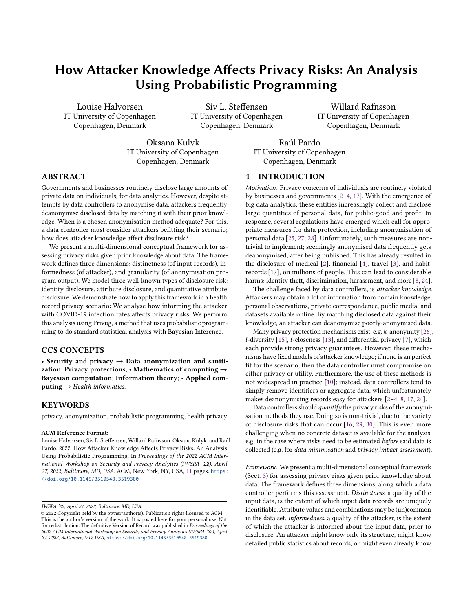IWSPA '22, April 27, 2022, Baltimore, MD, USA. Comparent and Musical Louise Halvorsen, Siv L. Steffensen, Willard Rafnsson, Oksana Kulyk, and Raúl Pardo

some, or most, records. Granularity, a quality of the disclosure program, is the extent of which data has been distorted, or reduced in resolution, during disclosure. Examples include dropping identifying attributes, adding random noise, and making values coarser.

To further aid the data controller in this assessment, we model three well-known [\[16,](#page-10-15) [30\]](#page-10-17) types of disclosure risk, each represented by a query. Identity disclosure is when an attacker identifies which record belongs to a data subject. Attribute disclosure is when an attacker learns the value of an attribute of a data subject, without necessarily knowing which record belongs to the data subject. Quantitative attribute disclosure is when an attacker changes their belief about the value of an attribute of a data subject. These disclosures are in decreasing order of severity, from disclosing a record, to disclosing an attribute, to disclosing information about an attribute.

We demonstrate (Sect. [5](#page-4-0) and [6\)](#page-6-0) how to apply this framework to systematically perform privacy risk analysis. First, a data controller defines the range of each dimension in the framework. A choice from each of these ranges yields a concrete analysis scenario. The data controller then performs the analysis for each scenario, by issuing their queries on it, the result of which is the disclosure risk for that scenario. The result is a complete picture of how changes along each dimension affect disclosure risk. We analyse each sce-nario semi-automatically using PRIVUG [\[18\]](#page-10-18). PRIVUG (Sect. [4\)](#page-3-0) is a method that uses Bayesian inference to analyse privacy risks in programs, in a probabilistic programming language. Note that the framework is independent of the tools used to analyse the scenarios; LeakWatch [\[1\]](#page-10-19) could for instance be used instead.

Together, this constitutes a systematic approach for exploring how prior knowledge affects privacy risk. In contrast to an ad-hoc, unstructured exploration, a data controller now has concrete dimensions, queries, and methods, for making a privacy risk assessment.

Health Data Privacy. Our approach is a significant contribution to health data privacy. To show this, we (in our demonstration) analyse disclosure risks associated with publishing COVID-19 infection rates in Denmark. We focus on the public datasets that Statista (<www.statista.com>) regularly publishes on infection rates in the Danish population [\[6\]](#page-10-20). These datasets are aggregated into age groups. Our goal is to quantify privacy risks for all age groups, and find out which age groups are most vulnerable. Applying our conceptual framework, we proceed by instantiating the three dimensions. Granularity consists of two anonymisation methods: attr\_r drops identifying attributes, and attr\_g reduces the granularity of attributes. Informedness consists of two attackers, who vary in how much prior knowledge they have about infection rates. The first attacker, UNIFORM, knows nothing about infection rates, whereas the second, covid19, is informed about publicly-available statistics on the first few months of the COVID-19 outbreak in Denmark. Distinctness consists of the 112 different age groups that we suppose that attacker is trying to learn about. This yields a total of  $112 * 2 * 2 = 448$  scenarios, each of which we perform our three queries on using Privug. The result is an extensive and detailed analysis of privacy risks, presented in Figs. [6](#page-7-0) to [8.](#page-8-0) Summarised:

(1) Using the uniform prior results in a worst-case overestimation of identity and attribute disclosure risks for people aged 0-79, but results in an underestimation of these same risks for people in the age group  $\geq 80$ . (Sections [6.1](#page-6-1) and [6.2\)](#page-7-1).

- (2) Reducing granularity of quasi-identifiers (e.g. age, birthday, zip [\[9,](#page-10-21) [23,](#page-10-22) [26\]](#page-10-10)) reduces attribute disclosure risk by at least 20% in the covid19 prior and 10% for UNIFORM. But doing so is insufficient for protecting age group  $\geq 80$  (up to 80% attribute disclosure risk, and only offers low protection for people aged 0-79 (up to 50% attribute disclosure risk). (Section [6.2\)](#page-7-1).
- (3) Using the uniform prior results in a worst-case overestimation of quantitative disclosure risks—both for ordinary records (30 year old people) and outliers (90 year old people). However, for the covid19 prior, the attacker learns proportionally—the risk increases by up to 30%. (Section [6.3\)](#page-8-1).

As evident by the comprehensiveness of the above results, our approach is a significant step forward in the area of privacy risk analysis of health records in general, especially due of pt. [iii\)](#page-1-0) below.

Contribution. Our contributions include:

- (1) a multidimensional conceptual framework for assessing how attacker knowledge affects privacy risk:
	- (a) three dimensions along which assessment is performed, (b) model of three well-known types of disclosure risk;
- (2) demonstration of how to apply this framework to perform privacy risk analysis using probabilistic programming;
- (3) approach to obtain comprehensive privacy risk results in health data privacy using a Bayesian model of input data.

<span id="page-1-0"></span>Our approach stands out in three important ways. i) We provide an semi-automatic way to quantify well-known notions of disclosure risks. This is in contrast to to existing works, which require a nonnegligible level of expertise to be carried out. ii) We are analysing the performance of a anonymization method, not how vulnerable a specific dataset is. iii) The model of the input dataset is Bayesian; while we can model a specific input dataset, we can furthermore model varying degrees of uncertainty about the input dataset, corresponding to what an attacker could reasonably know. Notably, this enables us to analyse data protection measures before we collect data, à la UNIFORM. This facilitates data minimisation, included in several privacy regulations and guidelines (see e.g. GDPR [\[27\]](#page-10-5), Article 5), and reduces disclosures resulting e.g. from server breaches. This is in stark contrast with existing risk estimation methods, which have to be applied on a particular dataset.

All data relevant to our demonstration, i.e. public datasets of Danish demographics and COVID-19 infection, probabilistic models, anonymisation programs, and the complete set of results in this paper, are available in our public repository [\[21\]](#page-10-23).

## <span id="page-1-1"></span>2 MOTIVATION (PRIVACY VIOLATIONS)

The overall problem is privacy violations stemming from insufficient anonymisation of disclosed records. This problem is very broad; to illustrate this, we present three scenarios (one in detail) showcasing varied privacy concerns: health, personality, and location. These examples furthermore highlight recurring elements.

Health. Consider the anonymisation of medical records. The input data has five columns: name, zip code, birthday, sex, and diagnosis. Consider an anonymisation algorithm (hea) which simply drops the name column, as illustrated in Fig. [1a.](#page-2-1) Suppose that a data controller applies this algorithm on the input data, and discloses the result.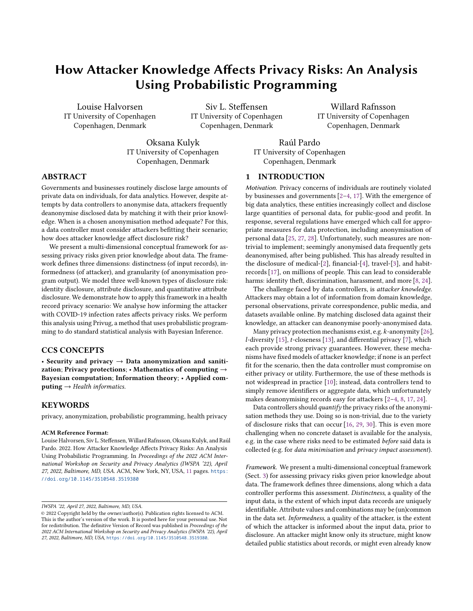How Attacker Knowledge Affects Privacy Risks: An Analysis Using Probabilistic Programming IWSPA '22, April 27, 2022, Baltimore, MD, USA.

<span id="page-2-1"></span>

| name                          | <b>7in</b>                   | birthdav                                             | sex | diagnosis                 |                          | zip                          | birthdav                                             | sex    | diagnosis                        |             | name                          | zip                          | birthdav                                             | sex    |                    |                  |
|-------------------------------|------------------------------|------------------------------------------------------|-----|---------------------------|--------------------------|------------------------------|------------------------------------------------------|--------|----------------------------------|-------------|-------------------------------|------------------------------|------------------------------------------------------|--------|--------------------|------------------|
| Alice<br>Bob<br>Carol<br>Dave | 2300<br>2305<br>2300<br>2310 | 15.06.1956<br>15.06.1956<br>09.10.1925<br>01.01.2000 | M   | healthy<br>healthy<br>ill | hea<br>$\longrightarrow$ | 2300<br>2305<br>2300<br>2310 | 15.06.1956<br>15.06.1956<br>09.10.1925<br>01.01.2000 | M<br>M | ill<br>healthy<br>healthy<br>ill | $_{\oplus}$ | Mark<br>Rose<br>Alice<br>Dave | 2450<br>2870<br>2300<br>2310 | 30.09.1977<br>24.12.1985<br>15.06.1956<br>01.01.2000 | M<br>M | $\rightsquigarrow$ | Alice<br>is ill. |

(a) Health records anonymized by dropping an identifying attribute (name).

Figure 1: Anonymized health record reidentified by means of a linking attack.

| name  | <b>ZID</b> | birthday   | sex | diagnosis |      | zip  | sex               | age                             | diagnosis |  |                        |  |  |
|-------|------------|------------|-----|-----------|------|------|-------------------|---------------------------------|-----------|--|------------------------|--|--|
|       | 2300       | 15.06.1956 |     | ill       |      | 2770 | M                 | M                               | healthy   |  |                        |  |  |
|       | 2770       | 15.06.1956 | M   | healthy   |      | 2770 | M                 | M                               | healthy   |  |                        |  |  |
|       | 2300       | 07.03.1997 |     | healthy   | hea' | 2770 | M                 |                                 | ill       |  | Alice is a middle-aged |  |  |
|       | 2770       | 01.01.2000 | M   | ill       |      |      | $\longrightarrow$ | $_{\oplus}$<br>ill<br>2770<br>M |           |  | $\rightsquigarrow$     |  |  |
|       | 2300       | 22.05.1968 |     | ill       |      | 2300 |                   |                                 | healthy   |  | female living in 2300. |  |  |
|       | 2770       | 23.12.1961 | M   | healthy   |      | 2300 |                   |                                 | healthy   |  |                        |  |  |
| Grace | 2300       | 19.11.1991 |     | healthy   |      | 2300 |                   | M                               | ill       |  |                        |  |  |
| Harry | 2770       | 29.08.2002 | M   | ill       |      | 2300 |                   | M                               | ill       |  |                        |  |  |

(a) Health records anonymized by grouping values, satisfying 2-anonymity.

(b) Homogeneity attack reveals Alice's diagnosis.

(b) Linking attack reveals Alice's record.

Figure 2: Anonymized health record's diagnosis revealed by means of a homogeneity attack.

Suppose that users have not consented to their diagnosis being disclosed. Despite the disclosed records being anonymised, the diagnosis of individuals might be revealed. Suppose that you already possess a dataset with zip codes, birthdays, sex, and, crucially, names as shown after the "⊕" in Fig. [1b.](#page-2-1) Since zip code, birthday, and sex, form a quasi-identifier in both datasets, a simple join of the datasets could reveal the names of the individuals from the disclosed medical records, thus revealing whether or not they are ill, as per the " $\sim$ ".

Sweeney [\[26\]](#page-10-10) famously joined medical records disclosed by the Group Insurance Commission (GIC) in Massachusetts, with a voter registration list (which she acquired for \$20), to reveal the health record of the then-governor of Massachusetts. Our example is based on this incident. This is a linking attack. A high percentage of the population can be uniquely identified by a combination of common demographics in this manner [\[9,](#page-10-21) [23\]](#page-10-22); 87% of the US population can be uniquely identified by zip code, sex, and date of birth [\[26\]](#page-10-10).

Sufficiently anonymising data is hard. Suppose a data controller wishes to publish medical records with high utility, yet where uniquely identifying a record is impossible. She applies hea' on the input data, which drops names, replaces birthdays with age groups, and discloses the result, as illustrated in Fig. [2a.](#page-2-1) The released data satisfies k-anonymity ( $k = 2$ ); no record can be uniquely identified. The disclosed data has high utility; it says that all young adult (Y) males in 2770 are ill, and all middle-aged (M) females in 2300 are ill. However, this dataset is vulnerable. Suppose an attacker knows that Alice is a middle-aged female living in 2300, and that her record is in the data set. (The attacker may be a neighbour who knows that Alice got tested.) All records matching these constraints are ill. The attacker concludes that Alice is ill. Machanavajjhala et al. [\[14\]](#page-10-24) demonstrated this shortcoming of  $k$ -anonymity (and proposed  $l$ diversity as a remedy). This is a homogeneity attack.

Personality. Narayanan and Shmatikov [\[17\]](#page-10-3) linked the Netflix prize dataset, containing anonymised movie ratings of 500,000 Netflix subscribers, with (public) profiles from IMDB. They succeeded despite Netflix injecting noise into the data during the anonymisation process. Movie watching habits and ratings reveal intimate details of people, such as political orientation (e.g. the movie "Fahrenheit 9/11"), religious views ("Jesus of Nazareth"), and sexual orientation ("Queer as Folk") [\[17\]](#page-10-3). This is in line with results from sociology and

psychology research [\[12\]](#page-10-25), which concludes that our movie watching habits and ratings are indicators of how we rank on the Big Five personality factors [\[11\]](#page-10-26). For instance, Alice may like science-fiction and fantasy because she is creative and adventurous, albeit reserved. Inferring such facts from released data is an inference attack.

Location. Culnane et al. [\[3\]](#page-10-7) showed that it only takes two datapoints to identify an individual in anonymised travel records for 15 million travel cards, disclosed by Public Transport Victoria (PTV), Melbourne, Australia. This can be done by linking travel records with event participation information from Facebook or meetup.com. Revealing travel information on individuals can reveal intimate details of people; where they work, where they sleep, whom they travel with. Travelling frequently to the same location may reveal health information (area has a hospital), religious affiliation (church), sexual orientation (gay bars), or substance abuse (pusher street).

Disclosing records that depends on personal information poses a privacy risk: an attacker may relate them with information they already possess, and deanonymise them. Suppose you are the data controller, faced with the task of anonymising data. How do you know that using a certain anonymisation algorithm poses a privacy risk? Crucially: What is a good model for attacker knowledge, and how does informing it with realistic data influence risk analysis?

## <span id="page-2-0"></span>3 FRAMEWORK (DIMENSIONS, QUERIES)

How do you approach the above problem? Where do you start your analysis, and how will you know that you have high-confidence results? For this, we present a conceptual framework, which serves as an analytical tool by introducing concepts which help the data controller think about and approach this problem. Later, we will see a concrete manner in which the data controller can solve this problem in an semi-automated, systematic manner, using Privug.

Before we can make statements about privacy, we need to know what kind of attackers we consider in our risk assessment. In our conceptual framework, we assume the following threat model.

<span id="page-2-4"></span><span id="page-2-3"></span><span id="page-2-2"></span>Threat model. We consider an attacker that i) has some prior knowledge about the input dataset, ii) who knows the program, and iii) who observes the output of the program. The goal of the attacker is to infer additional information about the input dataset.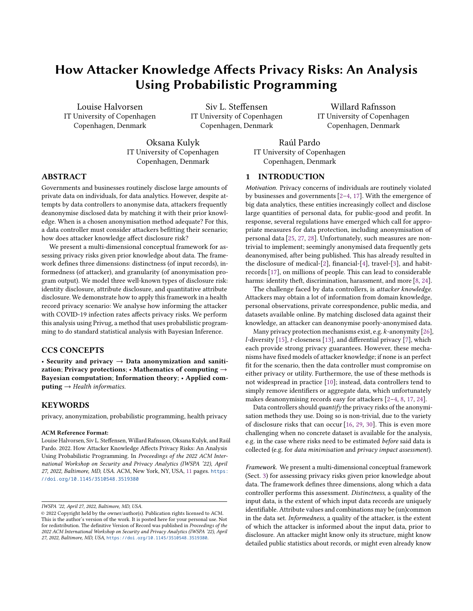<span id="page-3-1"></span>

Figure 3: Overview of our framework  $(s = |D| * |I| * |G|)$ .

Pt. [i\)](#page-2-2) encompasses a broad space of attackers, ranging from ones that know nothing, to ones that know everything, about the input dataset, with varying degrees of certainty. It thus subsumes attackers which perform linking or homogeneity attacks. Pt. [ii\)](#page-2-3) is inspired by Kerckhoff's principle; we should not rely on the program being obscure for privacy to be preserved, as an attacker might know (or infer) the program. Pt. [iii\)](#page-2-4) similarly does not rely on the disclosed output being obscure for privacy to be preserved (it is disclosed).

Dimensions. Our conceptual framework introduces three dimensions to aid the data controller in thinking about the above problem.

Distinctness. A quality of the input data, this dimension represents the extent of which records in the input data are uniquely identifiable. A record might be similar to many records in the input dataset, might be unique, or anywhere in between. For instance, in the input data of Fig. [1b,](#page-2-1) Carol is more uniquely identifiable than Alice with respect to age, since Alice shares her age with Bob (whereas Carol shares an age with no-one). In the personality example, viewers that watch really obscure movies are more identifiable than viewers that watch mainstream movies. Finally, in the location example, travellers that travel to odd locations at odd hours are more identifiable than travellers that travel on main transport routes in rush hour. Analysing with respect to varying degrees of distinctness enables the data controller to evaluate the extent of which the disclosure program protects outliers in the input data.

Informedness. A quality of the attacker, this dimension represents the extent of which the attacker is informed about the input data, prior to disclosure. For instance, in Fig. [1b,](#page-2-1) the attacker knew the zip, birthday and sex of Alice and Dave, whereas in Fig. [2,](#page-2-1) the attacker knew the zip and sex of Alice, and that she's middle-aged. In the personality example, the attacker knew which movies users had rated on IMDB, and in the location example, the attacker knew which events people had participated in. Whereas these are examples of the attacker knowing things with certainty, the attacker might also possess knowledge with varying degrees of uncertainty. For instance, the attacker might know that sexes in the input dataset are distributed with a slight bias towards females. In other words, the attacker might know nothing besides the structure of input records, might know detailed public statistics about records, or might even already know some, or most, of the records. Analysing with respect to varying degrees of informedness enables the data controller to assess how attacker knowledge affects privacy risk.

Granularity. A quality of the disclosure program, this dimension represents the extent of which data has been distorted, or reduced in resolution, during disclosure. For instance, in Fig. [1b,](#page-2-1) the disclosure program drops identifying attributes, whereas in Fig. [2,](#page-2-1) the disclosure program furthermore makes values more coarse. The disclosure program can also add random noise, as in the personality example. Analysing with respect to varying degrees of granularity enables the data controller to evaluate the effect of different

IWSPA '22, April 27, 2022, Baltimore, MD, USA. Comparent and Musical Louise Halvorsen, Siv L. Steffensen, Willard Rafnsson, Oksana Kulyk, and Raúl Pardo

anonymisation approaches, to assess which approach strikes the desired balance between privacy and utility.

Queries. To further aid the data controller, we highlight three known [\[16,](#page-10-15) [30\]](#page-10-17), relevant types of disclosure risk, represented by queries.

Identity disclosure. Can an attacker identify precisely which record belongs to a data subject? For instance, in Fig. [1b,](#page-2-1) the attacker can identify which row belongs to Alice (the first row). This is the most severe disclosure; if the attacker pinpoints Alice's record, then the attacker learns all of Alice's attributes in the disclosed dataset.

Attribute disclosure. Does the attacker learn the value of an attribute of a data subject (without necessarily knowing which record belongs to said data subject)? For instance, in Fig. [2,](#page-2-1) while the attacker cannot pinpoint which of the rows belong to Alice, the attacker learns the diagnosis since all candidate rows are diagnosed ill. Suppose, for instance, that the input dataset furthermore contained a street address, which is preserved by the disclosure program. Then the attacker does not learn Alice's street address exactly (but rather, reduces it to two possible addresses).

Quantitative attribute disclosure. Does the attacker change their belief about the value of an attribute of a data subject? With belief being (un)certainty of knowledge, we think of these as probabilities. For instance, consider a variation of the input data in Fig. [2,](#page-2-1) where Carol and Grace's record are not present. The disclosed table then does not contain the ⟨2300, F, Y, healthy⟩ rows. Suppose that 2% of the general population is ill, and that this is known by the attacker prior to disclosure. Suppose further that the attacker knows nothing about Alice (not even her name) except that her record is in the input dataset. Then, upon seeing the disclosed dataset, the attacker's belief that Alice is ill becomes <sup>2</sup>/3—a huge increase. This is the least severe disclosure of the three; the attacker neither pinpoints Alice's record, nor learns an attribute with certainty.

Scenarios. Each choice along each of the three dimensions gives rise to a scenario, to be analysed for disclosure risk using the above queries. This is summarised in Fig. [3.](#page-3-1) Here,  $D$ ,  $I$ , and  $G$  are the record types, attackers, and disclosure programs considered by the data controller. Large sets yield many scenarios, each of which needs to be analysed with the three queries. In the following, we show how to perform these analyses semi-automatically using Privug.

## <span id="page-3-0"></span>4 METHOD (PRIVUG)

To reason about privacy risks stemming from the use of an anonymi-sation algorithm, we use PRIVUG [\[18\]](#page-10-18). PRIVUG semi-automates the process of quantifying risk. We briefly recall the Privug method here, and refer the reader to [\[18\]](#page-10-18) for further details.

In Privug, we define attacker knowledge as a probabilistic model, and use Bayesian inference to reason about what the attacker learns.

Probabilistic model. A probabilistic model describes a stochastic phenomenon in terms of random variables and their relationships. We express our probabilistic models in a programming language. Probabilistic programming is the use of programming languages for probabilistic modelling and reasoning. We use Figaro [\[19\]](#page-10-27), a probabilistic programming language embedded in Scala. We can e.g. write **val**  $x =$  Uniform(0,10) to specify that  $x \sim$  Uni(0,10), define  $y$  in terms of  $x$ , define a distribution over datasets, etc.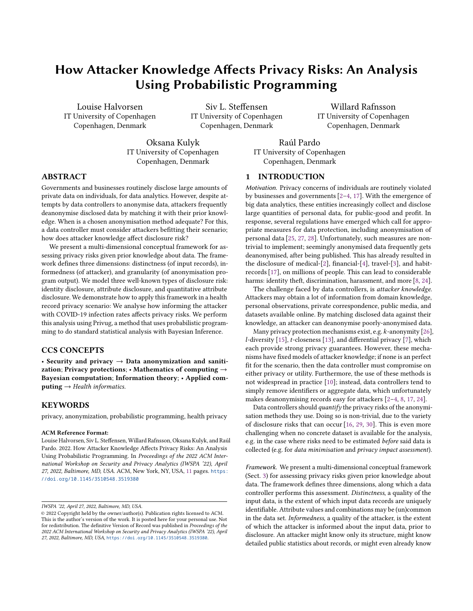The steps of Privug (see Figure [4\)](#page-5-0) are divided in two phases.

Modeling Phase. First, a data controller defines the scenario as a probabilistic model. The model is created in three steps:

(1) Prior. Define the attacker's knowledge about the input of the program before observing the output. This is modelled as a distribution over (input) datasets. This model is very general. With it, we can model how much the attacker knows—with varying degrees of certainty—about the size of the dataset, which values attributes can take, which records are in the dataset, and dependencies between all of these. In Sect. [5.1](#page-4-1) we give two priors on COVID-19 infection rates for the Danish population: an uninformed attacker making reasonable guesses (UNIFORM), and an attacker informed about publicly-released statistics on the matter (COVID19).

(2) Disclosure program. Define the probabilistic version of the anonymisation program. The probabilistic version maps a distribution over inputs to a distribution over outputs. We invoke it on the prior to compute the attacker's prediction of the output of the anonymisation program. The probabilistic version is trivially obtained from the original anonymisation program, usually by simply updating its type signature. In Sect. [5.2](#page-5-1) we show the probabilistic version of two anonymisation programs: one that drops a column  $(\text{attr}_r)$ , and one that reduces granularity of data  $(\text{attr}_q)$ .

(3) Observation. Condition the program outputs. This asserts evidence that the attacker has after observing the output of the anonymisation program. This is required for some types of analysis. In Sect. [5.3,](#page-6-2) for quantitative attribute disclosure, we assert that  $k$ records in the output share a distinguished record's age group.

Analysis Phase. The data controller then computes & analyzes the knowledge that the attacker obtains after disclosure. In two steps:

(4) Posterior. Use Bayesian inference to compute the knowledge of the attacker after observing the output, i.e., posterior distribution. Figaro includes several inference algorithms to estimate the posterior distribution automatically. We use Importance Sampling (IS) [\[22\]](#page-10-28). Intuitively, IS estimates the posterior by repeatedly generating sample datasets according to the prior, and running the disclosure program on each of the samples to estimate the distribution of output datasets. If observations are defined, IS rejects samples that do not satisfy the observation. For our analyses, we generate 5000 samples. This number of samples has been shown to provide a good estimation for the type of programs we analyse here [\[18\]](#page-10-18).

(5) Posterior Analysis. Query the prior and posterior. By doing so, the data controller can analyse what the attacker learns about the input from the output. All statistically defined queries and leakage measures can, in principle, be used [\[18\]](#page-10-18). In Sect. [6,](#page-6-0) we show and evaluate the result of issuing the disclosure queries from Sect. [5.3.](#page-6-2)

## <span id="page-4-0"></span>5 DEMONSTRATION: SETUP

In our demonstration of our framework, we evaluate the privacy risk of two anonymisation programs intended to protect the privacy of the individuals in a COVID-19 dataset. Consider a data analyst responsible for releasing COVID-19 data (of Danish citizens). The non-anonymised dataset contains an identification number for each data subject, the COVID-19 information (a binary diagnosis: "ill" or "healthy"), and demographic data, namely, birthday, age, zip code and sex. The analyst wishes to assess the privacy risks of two anonymisation methods: only removing the identifier, or furthermore decreasing the granularity of attributes (generalise). In particular, the analyst is interested in three types of analyses: i) determine the probability that an attacker uniquely identifies a record in the dataset (identity disclosure); ii) determine the probability that an attacker learns the diagnosis (attribute disclosure); and iii) determine how certain an attacker is about the diagnosis (quantitative attribute disclosure). The analyst will do this in the presence of two attackers: a uniform prior, and a prior that is informed with publicly available demographic data and COVID-19 data from Denmark.

This scenario is the same as in the health example in Sect. [2.](#page-1-1) However, our experiment differs in three crucial ways from Sweeney's work [\[26\]](#page-10-10). First, we consider COVID-19 infection rates in Denmark, whereas Sweeney considered hospital records disclosed by the GIC in Massachusetts. Second, we assess the privacy risk of anonymisation programs, not the vulnerability of a given dataset. We do not need the original dataset—in fact, we do not possess it. Instead, we create Bayesian models of what the attacker might know about the input data. Third, instead of looking for a linking [\[26\]](#page-10-10) or homogeneity [\[14\]](#page-10-24) attack on a dataset, we analyse anonymisation programs broadly, against attackers with varying degrees of informedness.

We refer to the distinguished record that the attacker is attempting to infer information about (Alice) as the victim.

## <span id="page-4-1"></span>5.1 Priors (informedness, distinctness)

We investigate two different priors built with the attributes described above. The uniform prior assumes a uniform distribution of all the demographic attributes, modeling a complete lack of knowledge of how these attributes can be distributed in the datasets. This prior corresponds, for instance, to the situation at the beginning of the COVID-19 pandemic when governments did not publish infection rates yet. The COVID-19 prior takes into consideration the actual distribution of the demographics as well as COVID-19 infections in May 2020 among the Danish population, based on published statistical data, thus modelling a stronger attacker that makes use of publicly available data. In this prior, the probability of a person being ill depends on the person's age and sex.

Both priors assume the dataset has a fixed size, and that records are independent from one another. We do not consider knowledge e.g. of the form "if Bob is in the dataset, then so is Carol", or "if everyone is male, then the dataset is small" (modellable in Privug).

UNIFORM. In the uniform prior, the attributes of sex, birthday, age and zip codes are uniformly distributed. More specifically, birthdays are uniformly distributed from a range of 0 to 364 denoting the 365 days in a year. (For the sake of simplicity, we ignore leap years in our experiment.) Age is defined in a similar way and is uniformly distributed from a range of 0 to 112. Furthermore, names are uniformly distributed from a list of 54 names. As for zip codes, around 250 different zip codes are uniformly distributed. Diagnosis has a probability of being ill at 0.2, i.e. a Bernoulli distribution. This is a (uneducated) guess, which is independent of demographics.

covid19. In the COVID-19 prior, distributions are defined from reallife, publicly-available demographics data on the Danish population.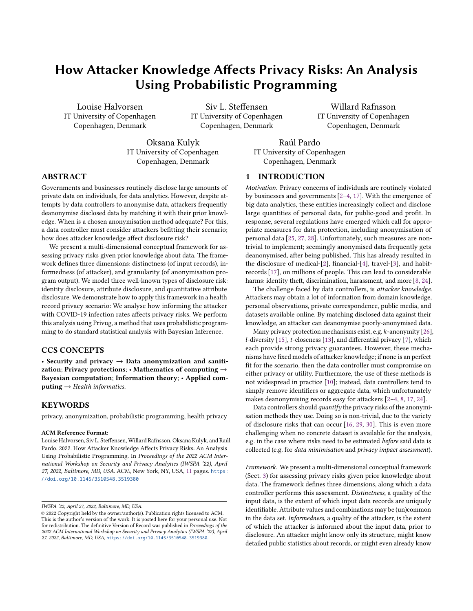IWSPA '22, April 27, 2022, Baltimore, MD, USA. Comparent and Musical Louise Halvorsen, Siv L. Steffensen, Willard Rafnsson, Oksana Kulyk, and Raúl Pardo

<span id="page-5-0"></span>



<span id="page-5-2"></span>



For the distribution on age and sex, we use data from Statbank [\[5\]](#page-10-29) maintained by Statistics Denmark, the central authority on statistics on Danish society. The data is a mapping from ages (0 to 111 years), to the share of people with that age living in Denmark in the first quarter of 2020. Figure [5](#page-5-2) (left) shows the distribution. For sex, the data is almost evenly distributed between female and male in Denmark; 51 percent female, and 49 percent male. The distribution on age depends on gender; there are more elderly females than there are elderly males, and there are more young males than there are young females. For the distribution on diagnosis, we use (freely available) data [\[6\]](#page-10-20) from Statista, a German private company specialising in market and consumer data. This data consists of the number COVID-19 cases as of October 6, 2020, by age (grouped in intervals of 10 years) and sex. In Denmark, females have a higher infection rate than males in all age groups, save for 60-70 and 70-80 years. Zip codes and birthdays remain uniformly distributed.

Data. Figure [5a](#page-5-2) shows the distribution over age and sex in Denmark. For instance, out of all males, ~0.011 of them are 0 years old, and out of all females, ~0.010 of them are 0 years old. This corresponds to two categorical distributions (for females & males resp.). Figure [5b](#page-5-2) shows the infection probability for each age interval in Denmark. For instance looking at the first column, the share of the Danish population, who are under the age of 9, female and are infected with COVID-19 is 0,0023. That is, there is a probability of 0,23 % of being infected with COVID-19, if you are female under age of 9.

Implementation. Figure [9](#page-10-30) shows the specification of our two priors in Figaro. The function VariableSizeArray(size,... defines a probability distribution over datasets w/ 500 rows (size ∼ Con(500), a constant distribution). Intuitively, it defines how to sample a dataset, in terms of how to sample a record. In Fig. [9a](#page-10-30) (UNIFORM), the attributes in each row are distributed as described above. In particular, Flip is a Bernoulli distribution on Booleans, and If branches on the Boolean to map it to a diagnosis. In Figure [9b](#page-10-30)

(covin19), names, zip code and birthdays are distributed the same way as in UNIFORM. However, sex is now a Bernoulli distribution, informed by demographics data from the Danish population. Similarly, which distribution over ages to draw from when sampling a record depends on the sampled sex (distAge), and which distribution over diagnosis to draw from depends on the sampled sex and age (distIll). These functions distAge and distIll are learned from the data given in Fig. [5,](#page-5-2) described above.

Victim record. In both priors, we inject a distinguished record—the victim—that the attacker is attempting to infer information about. Her name is Alice, she's born on February 13, lives in zip code 2300, and has diagnosis "ill". However, for her age, we consider all possible ages in the Danish population, i.e., from 0 to 112.

We do this to analyse the privacy risk of all possible age groups in the Danish population, and to be able to find out the more vulnerable age groups. With this, we model the distinctness dimension; by performing the analysis for each of the age groups, we consider records in the dataset of all kinds of distinctness. Injecting this record ensures the attacker's victim is included in the dataset. We remark that not injecting this record would not change the results of our analysis. Rather, the absence of this record may reduce the accuracy of our results. The sampling process would generate datasets without the victim record that are not relevant in our experiment.

#### <span id="page-5-1"></span>5.2 Disclosure programs (granularity)

In order to test the impact of different anonymisation techniques on the outputs of our risk estimation, we include some of these techniques in our experiments. Namely, we consider attribute removal (attr\_r) and attribute generalisation (attr\_g), described below.

Attribute removal ( $attr_r$ ). The first anonymisation program drops the name column from each record. The resulting dataset has high utility, since all other attributes are left intact. The probabilistic version, attr\_r, is given in Fig. [10a.](#page-10-30) It takes a distribution over datasets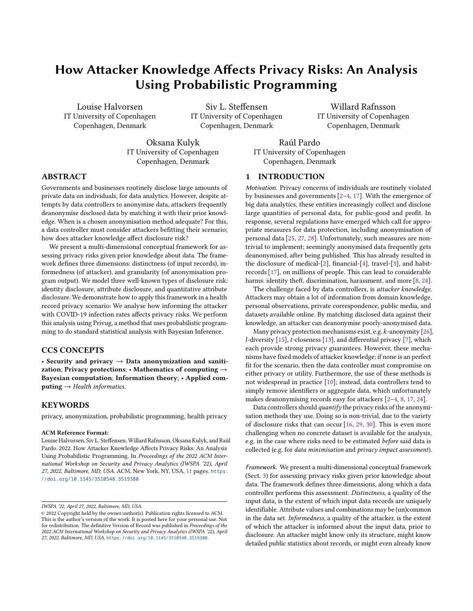as input, and produces a distribution over datasets (with names removed) as output. In Figaro, Element[T] is a distribution over T. Thus, ContainerElement[I,T] is a distribution over containers of T, indexed by I. Likewise, in FixedSizeArrayElement[T], the index of the container (a fixed-size array) is always Int. The original (non-probabilisic) version of  $\text{attr}_r$  is the same as  $\text{attr}_r$ , but with the element types replaces with List. It is thus quite easy for a data analyst to obtain attr\_r from an anonymization program.

Attribute generalisation  $(\text{attr}_q)$ . The second anonymisation program, in addition to dropping the name column, furthermore reduces granularity of data. The resulting dataset is less vulnerable to a linking attack, at the cost of some utility. The probabilistic version, attr\_g, is given in Fig. [10b.](#page-10-30) We generalise three attributes: zip code, birthday, and age, using (rather simple) generalisation functions zG, bG and aG, respectively, given in Fig. [11.](#page-10-30) Concretely, zip codes are divided into four bins, birthdays into 12 bins (month), and ages into five bins with approximately twenty years in each.

## <span id="page-6-2"></span>5.3 Posterior analysis (disclosure queries)

To analyse privacy risks, we consider three types of disclosure, in decreasing order of severity. The first type, identity disclosure, estimates the risk that an adversary can identify a record in the anonymised dataset that belongs to a specific data subject—a linking attack. The second type, attribute disclosure, considers the risks of an adversary learning the diagnosis of a data subject, without necessarily identifying their record in the dataset—a homogeneity attack. The third type, quantitative attribute disclosure, furthermore considers the change of beliefs of the adversary about the probability of a particular data subject being sick based on the released dataset. The disclosures queries are explained in more details below.

Identity disclosure. For quantifying identity disclosure risks, similar to the original Sweeney reidentification, we look at whether the victim is uniquely identified by a given set of attributes—i.e., quasiidentifier analysis. To this end, we infer a distribution over the number of records that share the given set of victim attributes.

Let " $\#(p)$ " be the random variable denoting the number of records satisfying predicate  $p$ . Predicates are defined on output records, i.e. tuples of the form  $(z, b, s, a, d)$ . Suppose, now, that we conduct a quasi-identifier analysis for the singleton set of attributes, age. We are then estimating the distribution  $P(\#(a = AGE))$ , that is, the distribution of the random variable denoting the number of records in the output dataset with the victim's age (AGE).

Attribute disclosure. To quantify attribute disclosure risk, we look at the probability that, in a given dataset, all of the records with the same quasi-identifier as the victim, have the same diagnosis. When all said records have the same diagnosis, we will have learned the victim's diagnosis, despite being (perhaps) unable to determine exactly which row in the input belongs to the victim.

Let  $(z_n, b_n, s_n, a_n, d_n)$  denote the *n*th record in the output dataset. In case of the age quasi-identifier, the probability that we then estimate is  $P(\forall n \in (1, N) \cdot a_n = AGE \implies d_n = 111)$ , where N is the total number of records in the output dataset. In other words: the probability that each record in the dataset matching the victim's age, is ill. By changing the left-hand side of the implication, we obtain probabilities for other quasi-identifiers.

Quantitative attribute disclosure. Here we measure the attacker's (un)certainty of the diagnosis. We consider how the adversary answers the question "What is the probability of the victim being infected with COVID-19?" given the demographic attributes of the victim as well as the dataset after anonymisation.

More precisely, assuming there is some number  $k$  of records sharing the victim's age, we look at the distribution over the number of those records that are ill. In other words, the distribution  $P(\#(a = AGE \land d = Ill) | \#(a = AGE) = k)$ . For example,  $P(\#(a = AGE \land d = Ill) = 2 \mid \#(a = AGE) = 10)$  gives the probability of the attacker learning the victim diagnosis with certainty  $2/10 = 0.2$ , i.e., two out of ten people with the victim's age are ill.

## <span id="page-6-0"></span>6 DEMONSTRATION: RESULTS

We analyse how each dimension affects disclosure risk. To this end, we run each query on each scenario, and compare the results along each dimension (cf. Fig. [3\)](#page-3-1). For the sake of brevity, for identity disclosure and quantitative attribute disclosure, we opt to show only query result for the age attribute, and, for attr\_g, to only show results of generalising age. Results of queries and generalisations for other attribute combinations (i.e. those listed in the x-axis of the in lower plots in Fig. [7\)](#page-8-2), can be found in our public repository [\[21\]](#page-10-23).

## <span id="page-6-1"></span>6.1 Identity disclosure analysis

For each scenario, we infer a distribution over the number of records that have the same age as the victim. Figure [6](#page-7-0) shows the results. The goal is to evaluate how each dimension affects identity disclosure risk—i.e., the extent of which the victim is uniquely identifiable—and determine what age group is more vulnerable to identity disclosure risks. To this end, we first compare how changes along a dimension affect the distribution (i.e., its mode and variance).

Informedness. Informing the prior increases the mode for ages 0-70, and decreases the mode for ages  $\geq 80$ . This is specially pronounced for ages  $\geq 80$  when using attr\_q for anonymisation. The variance of the distributions *decreases* for people in the age groups  $\geq 80$ , meaning that most of the probability is concentrated at the mode.

Granularity. Generalising attributes changes the support of the distributions: for  $\frac{attr}{r}$  is ca. (0, 25) whereas for  $\frac{attr}{g}$  is ca. (50, 175) (except for the covid19 prior). This change also increases the variance of the distributions. Generalising attributes increases the mode of the distributions, by a factor of ~20 for age groups 0-70 and up to a factor of 30 for  $\geq$  80. These results indicate that increasing granularity notably decreases identity disclosure risks.

Distinctness. Increasing distinctness does not significantly modify the mode of the distributions of age groups 0-70, but notably decreases the mode for  $\geq 80$ . The variance of the distributions is not affected for age groups 0-70, but *decreases* for  $\geq 80$  and covin19 prior. Note that, for covid19 prior, attr\_r anonymisation and the age group  $\geq 80$ , the probability is concentrated in low values (concretely values < 2); indicating a high risk of re-identification.

Findings. From this analysis, we present the following findings.

For age groups 0-70, UNIFORM constitutes a worst-case analysis for identity disclosure. This is because the mode of UNIFORM is lower than that of covid19 in Fig. [6;](#page-7-0) fewer people share the victim's age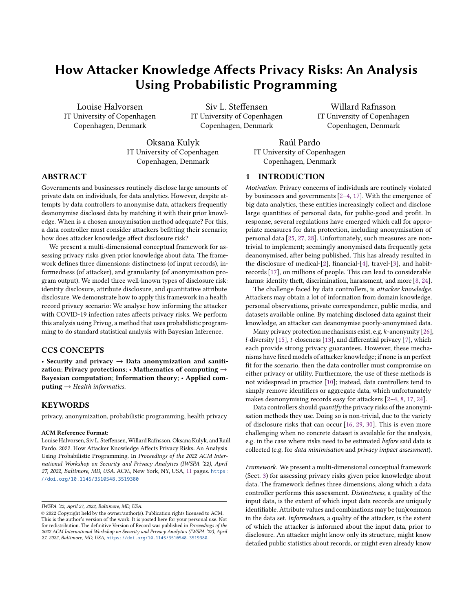<span id="page-7-0"></span>

Figure 6: Identity disclosure results. Probability that *n* people are in the same age group as the victim. The left side of the violin plots shows the distributions for the UNIFORM prior (blue), and the right side the distributions for the covid19 prior (orange). The markers show the mode of the distributions for UNIFORM (light blue) and COVID19 (light orange) priors.

in UNIFORM, making the victim more identifiable (i.e. higher risk) with UNIFORM. Further, the probability that the victim is uniquely identifiable is (near) zero, indicating that age groups 0-70 are not at risk of being identified based on their age. In Fig. [6,](#page-7-0) the UNIFORM peak is 5, meaning  $5/500 = 1/100$  people match the age of the victim (slightly fewer than what Fig. [5](#page-5-2) says about the Danish population).

For age groups  $\geq 80$ , however, the *opposite* holds; using UNIFORM leads to a profound underestimation of risk. This is because the mode of covid19 is lower than the mode of UNIFORM. In the last column of  $attr_q$  in Fig. [6,](#page-7-0) the covid19 mode at ca. 24 is much smaller than the UNIFORM mode at ca. 145, and the COVID19 mode for in the other age groups. Worse, in  $attr$ <sub>r</sub> and covid19 prior, the age groups  $\geq 90$  are very likely unique ( $> 50\%$  probability). This means that people in these age groups are at a high risk of being identified based on their age when data is anonymised with attr\_r.

#### <span id="page-7-1"></span>6.2 Attribute disclosure analysis

For each scenario, we infer the probability that every record, sharing a given set of attributes with the victim, is ill. Figure [7](#page-8-2) shows the results. We consider combinations of age, birthday, zip code, and sex, shown on the x-axis on the bottom plots. For granularity, we consider removal of name ("attr\_r(name)" in Fig. [7\)](#page-8-2), generalisation of age ("attr\_g(age)"), and generalisation of age, zip and birthday ("attr\_g(age,zip,day)"). The goal is to evaluate how each dimension affects attribute (i.e. diagnosis) disclosure risk—the extent of which the victim's diagnosis can be inferred with certainty by the attacker—and determine what age group is more vulnerable to attribute disclosure. We do this by first comparing how changes along a dimension affect the inferred probabilities.

Queries. Singleton attribute sets (age-row) pose a near-zero disclosure risk for age groups 0-79. However, for age groups  $\geq 80$  and covin19 prior, we see an exponential growth in disclosure risk, with age groups  $\geq 90$  having over 90% risk of an attacker learning the victims' diagnosis. Increasing the attribute set increases the disclosure risk. This is because the larger the attribute set, the fewer records there will be that match those attributes with the victim; the victim is more likely to be uniquely identified by the attribute combination. Adding zip or birthday greatly increases the risk (birthday slightly more), whereas adding sex barely increases it. For instance, in the case of attr\_r, for attribute set age, zip and sex, disclosure risk is ~100% irrespective of distinctness and informedness. The same holds for age, zip, and birthday, for  $\frac{attr}{r}$  and  $\frac{attr}{g}$  (age).

Informedness. Informing the prior, for age groups 0-79, decreases the probability for each query and each granularity. Informing the prior, for age groups  $\geq 80$ , *increases* the probability for each query and each granularity. There are several cases where this increase is especially profound: i) when using attr\_r and attribute sets age and age & sex, and ii) when we generalise age, zip & day for attribute sets age, zip & day and age, zip, day & sex.

Granularity. Generalising attributes decreases the probability for all scenarios, except for the attribute sets {age, zip, day} and {age, zip, day, sex} for which the probability remains the same when comparing "attr\_r" and "attr\_g" plots. For age groups 0-79, when we generalise age, risk for attribute set age & zip decreases from ⟨98%, 98%⟩ (UNIFORM prior, COVID19 prior) to  $\langle 71\%, 60\% \rangle$ . For age groups  $\geq 80$ , however, the risk decreases from ⟨98%, 98%⟩ to ⟨58%, 89%⟩. Note the small decrease for covid19. Disclosure risk does decrease dramatically if we furthermore generalise birthday and zip. For age groups 0-79, the highest disclosure risk for covid19 is 45% and 52% for UNIFORM. For age groups  $\geq 80$ , the risks are greatly reduced; however, the highest disclosure risk for covid19 is still 75%.

Distinctness. Increasing distinctness decreases mildly the risks for age groups  $\geq 80$  for UNIFORM prior. However, doing so *increases* the risk for covid19 for most queries (except of course for queries that already had ~100% probability). For instance, for attribute set {age, zip, day, sex} (last column), for generalisation of age, zip & birthday ("attr\_g(age,zip,day)"), for UNIFORM, the risk decreases from  $52\%$  to 40%, whereas for covid19, the risk doubles from 40% to 80%.

Findings. From this analysis, we present the following findings.

We observe the same effect of distinctness on the UNIFORM prior, that we found during identity disclosure analysis. For age groups 0- 79, UNIFORM is a worst-case analysis for attribute disclosure analysis. This is seen by comparing plots vertically in Fig. [7;](#page-8-2) values in bottom plots are less than those in the top plots. For age group  $\geq 80$ , the opposite holds; UNIFORM leads to an underestimation of risk.

Furthermore, for the group  $\geq 80$  and covid19, attr\_g is ineffective. However, for age groups  $0-79$ ,  $\frac{\text{attr}}{\text{g}}$  offers low but better privacy protection (ca. 40% attribute disclosure risk). Our results show the importance of generalising these attributes, but also indicate that these generalisation mechanisms may be insufficient.

With these results, data controllers make better, informed decisions on disclosing data, or can inform people in different age groups of risk of disclosing their data (and seek their consent).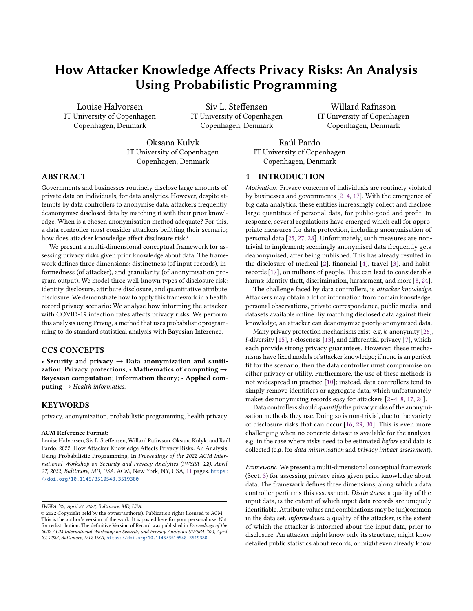How Attacker Knowledge Affects Privacy Risks: An Analysis Using Probabilistic Programming IVSPA '22, April 27, 2022, Baltimore, MD, USA.

<span id="page-8-2"></span>

Figure 7: Attribute disclosure results. Probability that every record sharing the victim's attribute values (x-axis) is ill. Each column corresponds to an anonymisation program, and each row corresponds to a prior. Bars are color coded, from dark blue (young age groups) to light green (old age groups).

<span id="page-8-0"></span>

Figure 8: Quantitative attr. discl. results. Probability that  $n/a$ of people in the same age group as the victim are ill.

#### <span id="page-8-1"></span>6.3 Quantitative attribute disclosure analysis

For each scenario, we infer a distribution, over the number of those records that are ill, with the condition (observation) that a records have the same age as the victim. Figure [8](#page-8-0) shows the result. The goal is to evaluate how each dimension affects quantitative attribute disclosure risk, i.e. the extent of which the attacker learns something about the probability that the victim is ill (i.e., how certain the attacker is that the victim is ill). Further, we compare how probabilities differ before and after the observation, by comparing what changes along a dimension does to the attacker certainty on whether the victim is ill.

Choice of  $a$ . For several distributions in Fig. [8,](#page-8-0) we picked  $a$  to be a value that is roughly equally probable for UNIFORM and COVID19 in the corresponding plot in Fig. [6](#page-7-0) and has probability  $\geq 0$  in both distributions. Note that there is no value  $a$  meeting these conditions across all age groups. Consequently, we have selected two illustrative type of records: i) a record with age = 32 which we refer to as ordinary (people in this age are well represented in the Danish

population, cf. Fig. [5a\)](#page-5-2), and ii) a record with  $age = 90$  which we refer to as outlier (people in this age are underrepresented in the Danish population). Furthermore, since there exists no equiprobable value for the age group  $\geq 80$  (outlier) when generalising age (last column in Fig. [7\)](#page-8-2), we pick the most likely outcome for each prior. As a result, we cannot draw conclusions from informing the prior in Fig. [8d,](#page-8-0) as the histograms are not comparable along that dimension. These choices are for the sake of presentation, they are not a limitation of our framework. Distributions for any choice of  $a$  and age group can be analyzed using the program in our public repository [\[21\]](#page-10-23). In Fig. [8,](#page-8-0) the values of the  $x$  axis represent the portion of the  $a$  records that share the victim's age, that are ill. In Fig. [8a,](#page-8-0) 33% represents  $0.33 * 6 = 2$ , i.e. the probability that 2 out of the 6 records are ill.

Certainty increase. We compute how much the certainty of the attacker (of victim being ill) increases after making an observation.

First, what was the certainty prior to observation? For UNIFORM, prior certainty is 20%. For covid19, it is 0.7% for ordinary, and 0.77% for outlier (cf. column 30-39 resp. 90-200 in Fig. [5b\)](#page-5-2).

Next, what is the certainty after observation? We see this by looking at the mode of each of the eight histograms in Fig. [8.](#page-8-0) In Fig. [8a](#page-8-0) in covid19, the mode is 17% (i.e. it is most probable that  $0.17 * 6 = 1$  out of  $a = 6$  are ill). Thus, after observation, 17% becomes the new certainty of whether the victim is ill in that scenario.

Finally, we compute the ratio of the two, to discover how much the certainty has increased (Table [1\)](#page-9-0). For the attr\_g-UNIFORM scenarios, certainty does not increase; it remains at 20%. In all other scenarios, certainty increases, by varying amounts. For instance, in the ordinary-attr\_r-uniform scenario, certainty increases slightly (by a factor of 1.65), whereas in the outlier- $attr\_r$ -covid19 scenario, certainty increases enormously (by a factor of 42.86).

We investigate how changes along dimensions affects the attacker's certainty. We do this by comparing increases in Table [1.](#page-9-0) We compare certainties after observation across scenarios, and we compare how much certainty increased upon making the observation. Since the values of  $a$  differ in the plots, we are unable to draw conclusions from comparisons along the distinctness dimension.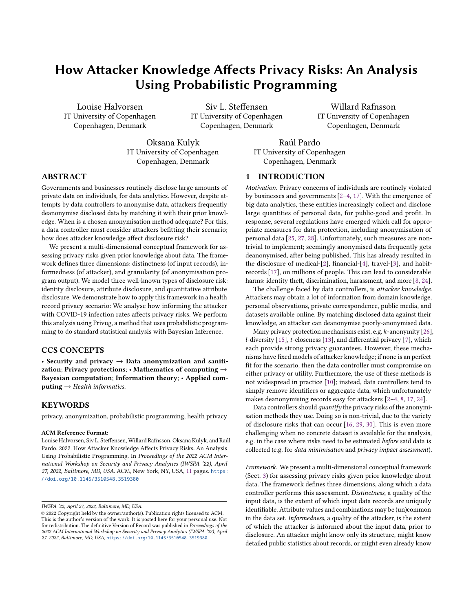<span id="page-9-0"></span>

|          |        | distinctness granularity informedness | prior mode |     | increase  | ratio |
|----------|--------|---------------------------------------|------------|-----|-----------|-------|
| ordinary | attr r | <b>UNIFORM</b>                        | 20.00%     | 33% | 13.00%    | 1.65  |
| ordinary | attr r | covid <sub>19</sub>                   | 0.70%      | 17% | 16.30%    | 24.29 |
| ordinary | attr q | <b>UNIFORM</b>                        | 20.00%     | 20% | $0.00\%$  | 1.00  |
| ordinary | attr q | covid <sub>19</sub>                   | 0.70%      | 1%  | $0.30 \%$ | 1.43  |
| outlier  | attr r | <b>UNIFORM</b>                        | 20.00%     | 33% | 13.00%    | 1.65  |
| outlier  | attr r | covid <sub>19</sub>                   | 0.77%      | 33% | 32.23%    | 42.86 |
| outlier  | attr q | <b>UNIFORM</b>                        | 20.00%     | 20% | 0.00%     | 1.00  |
| outlier  | attr_q | covid <sub>19</sub>                   | 0.77%      | 4%  | 3.23%     | 5.19  |

Table 1: Increase in illness certainty after observation.

Informedness. Informing the prior decreases the attacker's certainty. The certainty decreases more for ordinary than for outlier. This can be seen by comparing mode values of rows 1 & 2, 3 & 4, etc.; for ordinary-attr\_r, certainty decreases from 33% to 17%, whereas for outlier-attr\_r, certainty does not decrease (33% cf. 33%).

If we instead consider how much certainty increases, we get a different picture. For the informed prior, the attacker's certainty increases proportionally more. This increase is profound for  $attr_r$ , but slight for attr\_g. This can be seen by comparing increases (or ratios) of 1 & 2, 3 & 4, etc.; for outlier-attr\_r, the certainty increase is 32.23% (a profound factor 42.86 increase) cf. 13.00% (a meager factor 1.65 increase), whereas for outlier-attr\_g, the certainty increase is 3.23% (a factor 5.19 increase) cf. 0.00% (no increase). The increase is not significantly different for outlier compared to ordinary. The largest such difference is ordinary-attr\_r compared to outlier-attr\_r; in the former, certainty increases from 13.00% (factor 1.65) to 16.3% (factor 24.29), whereas in the latter, certainty increases from 13.00% (factor 1.65) to 32.23% (factor 42.86).

Granularity. Generalising attributes reduces the attacker's certainty. For covid19, this reduction is profound, whereas for UNIFORM, it is slight. This can be seen by comparing mode values of rows 1 & 3, 2 & 4, etc.; for ordinary-covid19, certainty reduces from 17% to 1%, whereas for ordinary-UNIFORM, certainty reduces from 33% to 20%.

If we instead consider how much certainty increases, we get a similar picture. For generalised attributes, the attacker's certainty decreases proportionally more. This decrease is profound for UNIFORM, but slight for covin19. This can be seen by comparing increases (or ratios) of  $1 \& 3$ ,  $2 \& 4$ , etc.; for outlier-covid19, the certainty increase is 3.23% (a factor 5.19 increase) cf. 32.23% (a profound factor 42.86 increase), whereas for outlier-UNIFORM, the certainty increase is 0.00% (no increase) cf. 13.00% (factor 1.65 increase).

Findings. From this analysis, we present the following findings.

Informing the prior decreases the attacker's certainty. However, for the informed prior, the attacker learns proportionally more than for the uninformed prior. This nuance is crucial; in some cases, a data controller cares about the attacker's prediction of the victim's illness, whereas in other cases, a data controller may care about how much information the attacker learns.

Generalising attributes reduces the attacker's certainty. Likewise, for generalised attributes, the attacker learns proportionally less than for removed attributes. For UNIFORM, generalising attributes reduces what the attacker learns to 0, whereas for covid19, doing so reduces what the attacker learns from a lot to a little.

IWSPA '22, April 27, 2022, Baltimore, MD, USA. Comparent and Musical Louise Halvorsen, Siv L. Steffensen, Willard Rafnsson, Oksana Kulyk, and Raúl Pardo

## 7 RELATED WORK

In [\[18\]](#page-10-18), Pardo et. al. introduced PRIVUG and evaluated its accuracy, scalability and applicability for a wide range programs (e.g. differential privacy  $[7]$  and k-anonymity  $[26]$ ). Our main novelty cf.  $[18]$  is the conceptual framework. In PRIVUG, the result of analysis depends on the prior. While expressive and fine-grained, great care must be exercised when choosing a prior during risk analysis (it must model a realistic attacker). Our conceptual framework exists to help the data controller navigate the problem space—the data, the attackers, and the mechanisms—to then organise approaches for solving the (risk assessment) problem. While motivated by [\[18\]](#page-10-18), our framework is independent of Privug (see Sect. [1\)](#page-0-0). Finally, no previous work evaluates how attacker knowledge affects privacy risk in our level of detail (see findings Sect. [6\)](#page-6-0); [\[18\]](#page-10-18) only evaluates informedness (not distinctness & granularity). Though [\[18\]](#page-10-18) introduced Sweeney's experiment using Privug (the authors study attribute removal and  $k$ -anonymity on a uniform prior), our paper presents significant novelties. First, we consider UNIFORM and COVID19 priors. As we have shown, covid19 has revealed insights not detected in UNIFORM. Second, we have extended the structure of the dataset to include the age attribute—this was required as the attribute is present in the COVID-19 dataset. Finally, we study attribute generalisation.

Other tools and methods to analyse re-identification risks hav been proposed in the last decade, see [\[20\]](#page-10-31) and references therein. Most of these tools can be used to perform all (or a subset of) the analyses we study here (cf. Sect. [5.3\)](#page-6-2). The main difference between these tools and the experiment in this paper is that these tools evaluate re-identification risks on concrete datasets, as opposed to re-identification risks on anonymisation algorithms. We remark also that Privug, can be used in the absence of a concrete dataset (e.g., our uniform prior), which makes it possible to analyse anonymisation algorithms before real accurate data is available. This is especially important in our experiment, as accurate COVID-19 data was available only a few months after the pandemic started.

In [\[23\]](#page-10-22), Rocher et. al. use a probabilistic model to evaluate reidentification in anonymised datasets (removing identifiers as in attr\_r) that contain only a fraction of the records of the complete dataset. Since datasets are incomplete, the authors use publicly available demographic data to assess re-identification risks (identity disclosure in our paper). The goal of the model is to estimate the risk of identity disclosure given a set of demographic attributes. Instead, we focus on evaluating different anonymisation programs (attr\_r and attr\_g); [\[23\]](#page-10-22) does not support this. We have further studied two more privacy metrics: attribute disclosure and quantitative attribute disclosure. However, our attacker model is more limited; we assess privacy risks on a pre-defined record (the victim), and assume that the attacker knows that the victim is included in the dataset. The attacker model in [\[23\]](#page-10-22) extrapolates to any member to the population, and makes no assumptions about the presence of the victim's record in the dataset.

#### 8 CONCLUSION

In this paper, we presented a multi-dimensional conceptual framework for assessing privacy risks in the presence prior knowledge about data, as well as a systematic method of conducting the analysis using Privug. We have demonstrated the effect of attacker